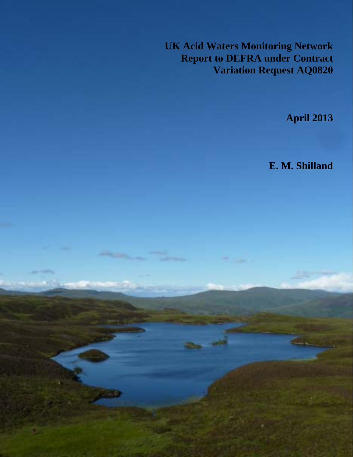**UK Acid Waters Monitoring Network Report to DEFRA under Contract Variation Request AQ0820**

333

**April 2013**

**E. M. Shilland**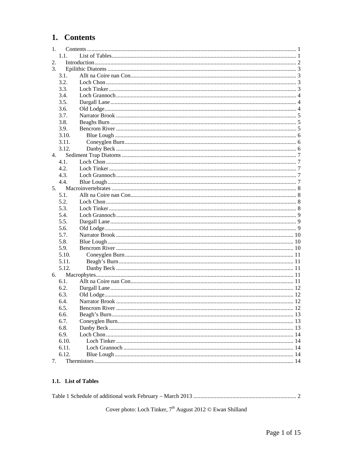# <span id="page-1-0"></span>1. Contents

| 1. |       |  |  |  |  |  |
|----|-------|--|--|--|--|--|
|    | 1.1.  |  |  |  |  |  |
| 2. |       |  |  |  |  |  |
| 3. |       |  |  |  |  |  |
|    | 3.1.  |  |  |  |  |  |
|    | 3.2.  |  |  |  |  |  |
|    | 3.3.  |  |  |  |  |  |
|    | 3.4.  |  |  |  |  |  |
|    | 3.5.  |  |  |  |  |  |
|    | 3.6.  |  |  |  |  |  |
|    | 3.7.  |  |  |  |  |  |
|    | 3.8.  |  |  |  |  |  |
|    | 3.9.  |  |  |  |  |  |
|    | 3.10. |  |  |  |  |  |
|    | 3.11. |  |  |  |  |  |
|    | 3.12. |  |  |  |  |  |
| 4. |       |  |  |  |  |  |
|    | 4.1.  |  |  |  |  |  |
|    | 4.2.  |  |  |  |  |  |
|    | 4.3.  |  |  |  |  |  |
|    | 4.4.  |  |  |  |  |  |
| 5. |       |  |  |  |  |  |
|    | 5.1.  |  |  |  |  |  |
|    | 5.2.  |  |  |  |  |  |
|    | 5.3.  |  |  |  |  |  |
|    | 5.4.  |  |  |  |  |  |
|    | 5.5.  |  |  |  |  |  |
|    | 5.6.  |  |  |  |  |  |
|    | 5.7.  |  |  |  |  |  |
|    | 5.8.  |  |  |  |  |  |
|    | 5.9.  |  |  |  |  |  |
|    | 5.10. |  |  |  |  |  |
|    | 5.11. |  |  |  |  |  |
|    | 5.12. |  |  |  |  |  |
| 6. |       |  |  |  |  |  |
|    | 6.1.  |  |  |  |  |  |
|    | 6.2.  |  |  |  |  |  |
|    | 6.3.  |  |  |  |  |  |
|    | 6.4.  |  |  |  |  |  |
|    | 6.5.  |  |  |  |  |  |
|    | 6.6.  |  |  |  |  |  |
|    | 6.7.  |  |  |  |  |  |
|    | 6.8.  |  |  |  |  |  |
|    | 6.9.  |  |  |  |  |  |
|    | 6.10. |  |  |  |  |  |
|    | 6.11. |  |  |  |  |  |
|    | 6.12. |  |  |  |  |  |
| 7. |       |  |  |  |  |  |
|    |       |  |  |  |  |  |

#### 1.1. List of Tables

|--|--|

Cover photo: Loch Tinker,  $7^{\text{th}}$  August 2012 $\copyright$  Ewan Shilland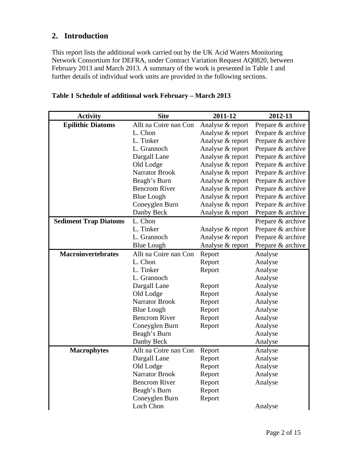# <span id="page-2-0"></span>**2. Introduction**

This report lists the additional work carried out by the UK Acid Waters Monitoring Network Consortium for DEFRA, under Contract Variation Request AQ0820, between February 2013 and March 2013. A summary of the work is presented in [Table 1](#page-2-1) and further details of individual work units are provided in the following sections.

<span id="page-2-1"></span>

| <b>Activity</b>              | <b>Site</b>           | 2011-12          | 2012-13           |
|------------------------------|-----------------------|------------------|-------------------|
| <b>Epilithic Diatoms</b>     | Allt na Coire nan Con | Analyse & report | Prepare & archive |
|                              | L. Chon               | Analyse & report | Prepare & archive |
|                              | L. Tinker             | Analyse & report | Prepare & archive |
|                              | L. Grannoch           | Analyse & report | Prepare & archive |
|                              | Dargall Lane          | Analyse & report | Prepare & archive |
|                              | Old Lodge             | Analyse & report | Prepare & archive |
|                              | <b>Narrator Brook</b> | Analyse & report | Prepare & archive |
|                              | Beagh's Burn          | Analyse & report | Prepare & archive |
|                              | <b>Bencrom River</b>  | Analyse & report | Prepare & archive |
|                              | <b>Blue Lough</b>     | Analyse & report | Prepare & archive |
|                              | Coneyglen Burn        | Analyse & report | Prepare & archive |
|                              | Danby Beck            | Analyse & report | Prepare & archive |
| <b>Sediment Trap Diatoms</b> | L. Chon               |                  | Prepare & archive |
|                              | L. Tinker             | Analyse & report | Prepare & archive |
|                              | L. Grannoch           | Analyse & report | Prepare & archive |
|                              | <b>Blue Lough</b>     | Analyse & report | Prepare & archive |
| <b>Macroinvertebrates</b>    | Allt na Coire nan Con | Report           | Analyse           |
|                              | L. Chon               | Report           | Analyse           |
|                              | L. Tinker             | Report           | Analyse           |
|                              | L. Grannoch           |                  | Analyse           |
|                              | Dargall Lane          | Report           | Analyse           |
|                              | Old Lodge             | Report           | Analyse           |
|                              | <b>Narrator Brook</b> | Report           | Analyse           |
|                              | <b>Blue Lough</b>     | Report           | Analyse           |
|                              | <b>Bencrom River</b>  | Report           | Analyse           |
|                              | Coneyglen Burn        | Report           | Analyse           |
|                              | Beagh's Burn          |                  | Analyse           |
|                              | Danby Beck            |                  | Analyse           |
| <b>Macrophytes</b>           | Allt na Coire nan Con | Report           | Analyse           |
|                              | Dargall Lane          | Report           | Analyse           |
|                              | Old Lodge             | Report           | Analyse           |
|                              | <b>Narrator Brook</b> | Report           | Analyse           |
|                              | <b>Bencrom River</b>  | Report           | Analyse           |
|                              | Beagh's Burn          | Report           |                   |
|                              | Coneyglen Burn        | Report           |                   |
|                              | Loch Chon             |                  | Analyse           |

#### **Table 1 Schedule of additional work February – March 2013**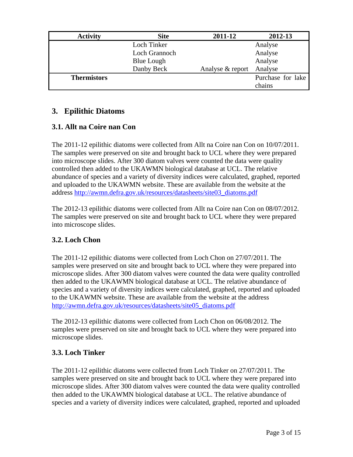<span id="page-3-0"></span>

| <b>Activity</b>    | <b>Site</b>       | 2011-12          | 2012-13           |
|--------------------|-------------------|------------------|-------------------|
|                    | Loch Tinker       |                  | Analyse           |
|                    | Loch Grannoch     |                  | Analyse           |
|                    | <b>Blue Lough</b> |                  | Analyse           |
|                    | Danby Beck        | Analyse & report | Analyse           |
| <b>Thermistors</b> |                   |                  | Purchase for lake |
|                    |                   |                  | chains            |

## **3. Epilithic Diatoms**

### **3.1. Allt na Coire nan Con**

The 2011-12 epilithic diatoms were collected from Allt na Coire nan Con on 10/07/2011. The samples were preserved on site and brought back to UCL where they were prepared into microscope slides. After 300 diatom valves were counted the data were quality controlled then added to the UKAWMN biological database at UCL. The relative abundance of species and a variety of diversity indices were calculated, graphed, reported and uploaded to the UKAWMN website. These are available from the website at the address [http://awmn.defra.gov.uk/resources/datasheets/site03\\_diatoms.pdf](http://awmn.defra.gov.uk/resources/datasheets/site03_diatoms.pdf)

The 2012-13 epilithic diatoms were collected from Allt na Coire nan Con on 08/07/2012. The samples were preserved on site and brought back to UCL where they were prepared into microscope slides.

#### **3.2. Loch Chon**

The 2011-12 epilithic diatoms were collected from Loch Chon on 27/07/2011. The samples were preserved on site and brought back to UCL where they were prepared into microscope slides. After 300 diatom valves were counted the data were quality controlled then added to the UKAWMN biological database at UCL. The relative abundance of species and a variety of diversity indices were calculated, graphed, reported and uploaded to the UKAWMN website. These are available from the website at the address [http://awmn.defra.gov.uk/resources/datasheets/site05\\_diatoms.pdf](http://awmn.defra.gov.uk/resources/datasheets/site05_diatoms.pdf)

The 2012-13 epilithic diatoms were collected from Loch Chon on 06/08/2012. The samples were preserved on site and brought back to UCL where they were prepared into microscope slides.

#### **3.3. Loch Tinker**

The 2011-12 epilithic diatoms were collected from Loch Tinker on 27/07/2011. The samples were preserved on site and brought back to UCL where they were prepared into microscope slides. After 300 diatom valves were counted the data were quality controlled then added to the UKAWMN biological database at UCL. The relative abundance of species and a variety of diversity indices were calculated, graphed, reported and uploaded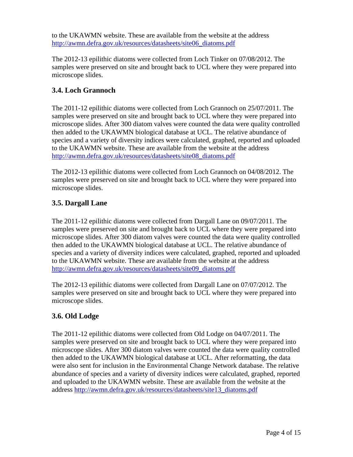<span id="page-4-0"></span>to the UKAWMN website. These are available from the website at the address [http://awmn.defra.gov.uk/resources/datasheets/site06\\_diatoms.pdf](http://awmn.defra.gov.uk/resources/datasheets/site06_diatoms.pdf)

The 2012-13 epilithic diatoms were collected from Loch Tinker on 07/08/2012. The samples were preserved on site and brought back to UCL where they were prepared into microscope slides.

## **3.4. Loch Grannoch**

The 2011-12 epilithic diatoms were collected from Loch Grannoch on 25/07/2011. The samples were preserved on site and brought back to UCL where they were prepared into microscope slides. After 300 diatom valves were counted the data were quality controlled then added to the UKAWMN biological database at UCL. The relative abundance of species and a variety of diversity indices were calculated, graphed, reported and uploaded to the UKAWMN website. These are available from the website at the address [http://awmn.defra.gov.uk/resources/datasheets/site08\\_diatoms.pdf](http://awmn.defra.gov.uk/resources/datasheets/site08_diatoms.pdf)

The 2012-13 epilithic diatoms were collected from Loch Grannoch on 04/08/2012. The samples were preserved on site and brought back to UCL where they were prepared into microscope slides.

#### **3.5. Dargall Lane**

The 2011-12 epilithic diatoms were collected from Dargall Lane on 09/07/2011. The samples were preserved on site and brought back to UCL where they were prepared into microscope slides. After 300 diatom valves were counted the data were quality controlled then added to the UKAWMN biological database at UCL. The relative abundance of species and a variety of diversity indices were calculated, graphed, reported and uploaded to the UKAWMN website. These are available from the website at the address [http://awmn.defra.gov.uk/resources/datasheets/site09\\_diatoms.pdf](http://awmn.defra.gov.uk/resources/datasheets/site09_diatoms.pdf)

The 2012-13 epilithic diatoms were collected from Dargall Lane on 07/07/2012. The samples were preserved on site and brought back to UCL where they were prepared into microscope slides.

#### **3.6. Old Lodge**

The 2011-12 epilithic diatoms were collected from Old Lodge on 04/07/2011. The samples were preserved on site and brought back to UCL where they were prepared into microscope slides. After 300 diatom valves were counted the data were quality controlled then added to the UKAWMN biological database at UCL. After reformatting, the data were also sent for inclusion in the Environmental Change Network database. The relative abundance of species and a variety of diversity indices were calculated, graphed, reported and uploaded to the UKAWMN website. These are available from the website at the address [http://awmn.defra.gov.uk/resources/datasheets/site13\\_diatoms.pdf](http://awmn.defra.gov.uk/resources/datasheets/site13_diatoms.pdf)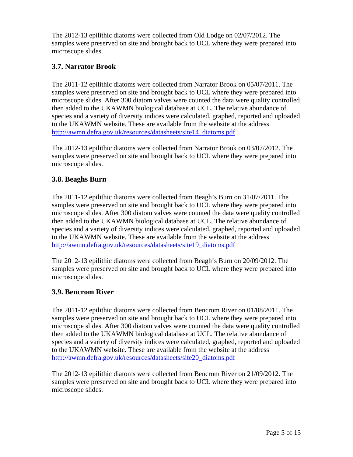<span id="page-5-0"></span>The 2012-13 epilithic diatoms were collected from Old Lodge on 02/07/2012. The samples were preserved on site and brought back to UCL where they were prepared into microscope slides.

# **3.7. Narrator Brook**

The 2011-12 epilithic diatoms were collected from Narrator Brook on 05/07/2011. The samples were preserved on site and brought back to UCL where they were prepared into microscope slides. After 300 diatom valves were counted the data were quality controlled then added to the UKAWMN biological database at UCL. The relative abundance of species and a variety of diversity indices were calculated, graphed, reported and uploaded to the UKAWMN website. These are available from the website at the address [http://awmn.defra.gov.uk/resources/datasheets/site14\\_diatoms.pdf](http://awmn.defra.gov.uk/resources/datasheets/site14_diatoms.pdf)

The 2012-13 epilithic diatoms were collected from Narrator Brook on 03/07/2012. The samples were preserved on site and brought back to UCL where they were prepared into microscope slides.

# **3.8. Beaghs Burn**

The 2011-12 epilithic diatoms were collected from Beagh's Burn on 31/07/2011. The samples were preserved on site and brought back to UCL where they were prepared into microscope slides. After 300 diatom valves were counted the data were quality controlled then added to the UKAWMN biological database at UCL. The relative abundance of species and a variety of diversity indices were calculated, graphed, reported and uploaded to the UKAWMN website. These are available from the website at the address [http://awmn.defra.gov.uk/resources/datasheets/site19\\_diatoms.pdf](http://awmn.defra.gov.uk/resources/datasheets/site19_diatoms.pdf)

The 2012-13 epilithic diatoms were collected from Beagh's Burn on 20/09/2012. The samples were preserved on site and brought back to UCL where they were prepared into microscope slides.

# **3.9. Bencrom River**

The 2011-12 epilithic diatoms were collected from Bencrom River on 01/08/2011. The samples were preserved on site and brought back to UCL where they were prepared into microscope slides. After 300 diatom valves were counted the data were quality controlled then added to the UKAWMN biological database at UCL. The relative abundance of species and a variety of diversity indices were calculated, graphed, reported and uploaded to the UKAWMN website. These are available from the website at the address [http://awmn.defra.gov.uk/resources/datasheets/site20\\_diatoms.pdf](http://awmn.defra.gov.uk/resources/datasheets/site20_diatoms.pdf)

The 2012-13 epilithic diatoms were collected from Bencrom River on 21/09/2012. The samples were preserved on site and brought back to UCL where they were prepared into microscope slides.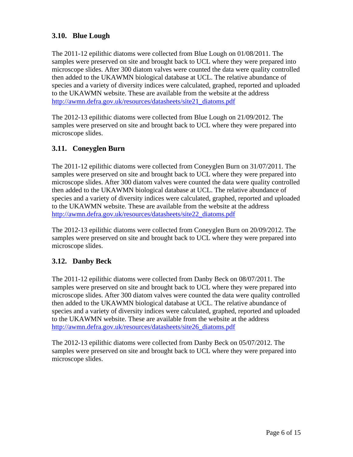## <span id="page-6-0"></span>**3.10. Blue Lough**

The 2011-12 epilithic diatoms were collected from Blue Lough on 01/08/2011. The samples were preserved on site and brought back to UCL where they were prepared into microscope slides. After 300 diatom valves were counted the data were quality controlled then added to the UKAWMN biological database at UCL. The relative abundance of species and a variety of diversity indices were calculated, graphed, reported and uploaded to the UKAWMN website. These are available from the website at the address [http://awmn.defra.gov.uk/resources/datasheets/site21\\_diatoms.pdf](http://awmn.defra.gov.uk/resources/datasheets/site21_diatoms.pdf)

The 2012-13 epilithic diatoms were collected from Blue Lough on 21/09/2012. The samples were preserved on site and brought back to UCL where they were prepared into microscope slides.

### **3.11. Coneyglen Burn**

The 2011-12 epilithic diatoms were collected from Coneyglen Burn on 31/07/2011. The samples were preserved on site and brought back to UCL where they were prepared into microscope slides. After 300 diatom valves were counted the data were quality controlled then added to the UKAWMN biological database at UCL. The relative abundance of species and a variety of diversity indices were calculated, graphed, reported and uploaded to the UKAWMN website. These are available from the website at the address [http://awmn.defra.gov.uk/resources/datasheets/site22\\_diatoms.pdf](http://awmn.defra.gov.uk/resources/datasheets/site22_diatoms.pdf)

The 2012-13 epilithic diatoms were collected from Coneyglen Burn on 20/09/2012. The samples were preserved on site and brought back to UCL where they were prepared into microscope slides.

#### **3.12. Danby Beck**

The 2011-12 epilithic diatoms were collected from Danby Beck on 08/07/2011. The samples were preserved on site and brought back to UCL where they were prepared into microscope slides. After 300 diatom valves were counted the data were quality controlled then added to the UKAWMN biological database at UCL. The relative abundance of species and a variety of diversity indices were calculated, graphed, reported and uploaded to the UKAWMN website. These are available from the website at the address [http://awmn.defra.gov.uk/resources/datasheets/site26\\_diatoms.pdf](http://awmn.defra.gov.uk/resources/datasheets/site26_diatoms.pdf)

The 2012-13 epilithic diatoms were collected from Danby Beck on 05/07/2012. The samples were preserved on site and brought back to UCL where they were prepared into microscope slides.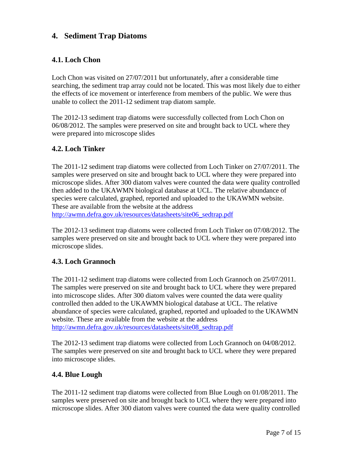# <span id="page-7-0"></span>**4. Sediment Trap Diatoms**

#### **4.1. Loch Chon**

Loch Chon was visited on 27/07/2011 but unfortunately, after a considerable time searching, the sediment trap array could not be located. This was most likely due to either the effects of ice movement or interference from members of the public. We were thus unable to collect the 2011-12 sediment trap diatom sample.

The 2012-13 sediment trap diatoms were successfully collected from Loch Chon on 06/08/2012. The samples were preserved on site and brought back to UCL where they were prepared into microscope slides

#### **4.2. Loch Tinker**

The 2011-12 sediment trap diatoms were collected from Loch Tinker on 27/07/2011. The samples were preserved on site and brought back to UCL where they were prepared into microscope slides. After 300 diatom valves were counted the data were quality controlled then added to the UKAWMN biological database at UCL. The relative abundance of species were calculated, graphed, reported and uploaded to the UKAWMN website. These are available from the website at the address

[http://awmn.defra.gov.uk/resources/datasheets/site06\\_sedtrap.pdf](http://awmn.defra.gov.uk/resources/datasheets/site06_sedtrap.pdf)

The 2012-13 sediment trap diatoms were collected from Loch Tinker on 07/08/2012. The samples were preserved on site and brought back to UCL where they were prepared into microscope slides.

#### **4.3. Loch Grannoch**

The 2011-12 sediment trap diatoms were collected from Loch Grannoch on 25/07/2011. The samples were preserved on site and brought back to UCL where they were prepared into microscope slides. After 300 diatom valves were counted the data were quality controlled then added to the UKAWMN biological database at UCL. The relative abundance of species were calculated, graphed, reported and uploaded to the UKAWMN website. These are available from the website at the address [http://awmn.defra.gov.uk/resources/datasheets/site08\\_sedtrap.pdf](http://awmn.defra.gov.uk/resources/datasheets/site08_sedtrap.pdf)

The 2012-13 sediment trap diatoms were collected from Loch Grannoch on 04/08/2012. The samples were preserved on site and brought back to UCL where they were prepared into microscope slides.

#### **4.4. Blue Lough**

The 2011-12 sediment trap diatoms were collected from Blue Lough on 01/08/2011. The samples were preserved on site and brought back to UCL where they were prepared into microscope slides. After 300 diatom valves were counted the data were quality controlled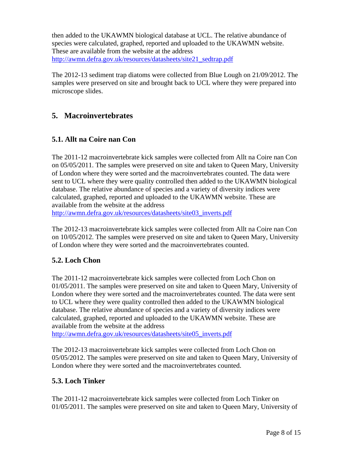<span id="page-8-0"></span>then added to the UKAWMN biological database at UCL. The relative abundance of species were calculated, graphed, reported and uploaded to the UKAWMN website. These are available from the website at the address [http://awmn.defra.gov.uk/resources/datasheets/site21\\_sedtrap.pdf](http://awmn.defra.gov.uk/resources/datasheets/site21_sedtrap.pdf)

The 2012-13 sediment trap diatoms were collected from Blue Lough on 21/09/2012. The samples were preserved on site and brought back to UCL where they were prepared into microscope slides.

# **5. Macroinvertebrates**

#### **5.1. Allt na Coire nan Con**

The 2011-12 macroinvertebrate kick samples were collected from Allt na Coire nan Con on 05/05/2011. The samples were preserved on site and taken to Queen Mary, University of London where they were sorted and the macroinvertebrates counted. The data were sent to UCL where they were quality controlled then added to the UKAWMN biological database. The relative abundance of species and a variety of diversity indices were calculated, graphed, reported and uploaded to the UKAWMN website. These are available from the website at the address

[http://awmn.defra.gov.uk/resources/datasheets/site03\\_inverts.pdf](http://awmn.defra.gov.uk/resources/datasheets/site03_inverts.pdf)

The 2012-13 macroinvertebrate kick samples were collected from Allt na Coire nan Con on 10/05/2012. The samples were preserved on site and taken to Queen Mary, University of London where they were sorted and the macroinvertebrates counted.

#### **5.2. Loch Chon**

The 2011-12 macroinvertebrate kick samples were collected from Loch Chon on 01/05/2011. The samples were preserved on site and taken to Queen Mary, University of London where they were sorted and the macroinvertebrates counted. The data were sent to UCL where they were quality controlled then added to the UKAWMN biological database. The relative abundance of species and a variety of diversity indices were calculated, graphed, reported and uploaded to the UKAWMN website. These are available from the website at the address

[http://awmn.defra.gov.uk/resources/datasheets/site05\\_inverts.pdf](http://awmn.defra.gov.uk/resources/datasheets/site05_inverts.pdf)

The 2012-13 macroinvertebrate kick samples were collected from Loch Chon on 05/05/2012. The samples were preserved on site and taken to Queen Mary, University of London where they were sorted and the macroinvertebrates counted.

#### **5.3. Loch Tinker**

The 2011-12 macroinvertebrate kick samples were collected from Loch Tinker on 01/05/2011. The samples were preserved on site and taken to Queen Mary, University of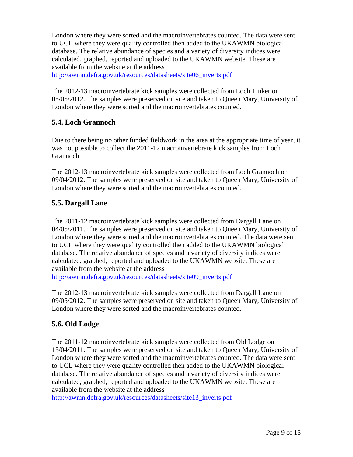<span id="page-9-0"></span>London where they were sorted and the macroinvertebrates counted. The data were sent to UCL where they were quality controlled then added to the UKAWMN biological database. The relative abundance of species and a variety of diversity indices were calculated, graphed, reported and uploaded to the UKAWMN website. These are available from the website at the address

[http://awmn.defra.gov.uk/resources/datasheets/site06\\_inverts.pdf](http://awmn.defra.gov.uk/resources/datasheets/site06_inverts.pdf)

The 2012-13 macroinvertebrate kick samples were collected from Loch Tinker on 05/05/2012. The samples were preserved on site and taken to Queen Mary, University of London where they were sorted and the macroinvertebrates counted.

### **5.4. Loch Grannoch**

Due to there being no other funded fieldwork in the area at the appropriate time of year, it was not possible to collect the 2011-12 macroinvertebrate kick samples from Loch Grannoch.

The 2012-13 macroinvertebrate kick samples were collected from Loch Grannoch on 09/04/2012. The samples were preserved on site and taken to Queen Mary, University of London where they were sorted and the macroinvertebrates counted.

#### **5.5. Dargall Lane**

The 2011-12 macroinvertebrate kick samples were collected from Dargall Lane on 04/05/2011. The samples were preserved on site and taken to Queen Mary, University of London where they were sorted and the macroinvertebrates counted. The data were sent to UCL where they were quality controlled then added to the UKAWMN biological database. The relative abundance of species and a variety of diversity indices were calculated, graphed, reported and uploaded to the UKAWMN website. These are available from the website at the address

[http://awmn.defra.gov.uk/resources/datasheets/site09\\_inverts.pdf](http://awmn.defra.gov.uk/resources/datasheets/site09_inverts.pdf)

The 2012-13 macroinvertebrate kick samples were collected from Dargall Lane on 09/05/2012. The samples were preserved on site and taken to Queen Mary, University of London where they were sorted and the macroinvertebrates counted.

# **5.6. Old Lodge**

The 2011-12 macroinvertebrate kick samples were collected from Old Lodge on 15/04/2011. The samples were preserved on site and taken to Queen Mary, University of London where they were sorted and the macroinvertebrates counted. The data were sent to UCL where they were quality controlled then added to the UKAWMN biological database. The relative abundance of species and a variety of diversity indices were calculated, graphed, reported and uploaded to the UKAWMN website. These are available from the website at the address

[http://awmn.defra.gov.uk/resources/datasheets/site13\\_inverts.pdf](http://awmn.defra.gov.uk/resources/datasheets/site13_inverts.pdf)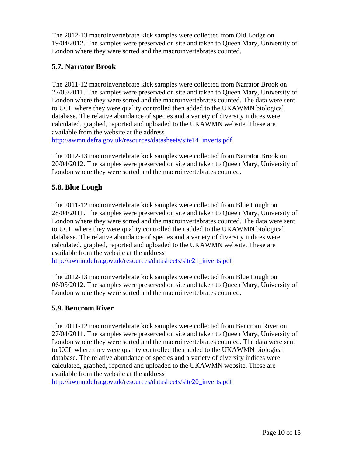<span id="page-10-0"></span>The 2012-13 macroinvertebrate kick samples were collected from Old Lodge on 19/04/2012. The samples were preserved on site and taken to Queen Mary, University of London where they were sorted and the macroinvertebrates counted.

## **5.7. Narrator Brook**

The 2011-12 macroinvertebrate kick samples were collected from Narrator Brook on 27/05/2011. The samples were preserved on site and taken to Queen Mary, University of London where they were sorted and the macroinvertebrates counted. The data were sent to UCL where they were quality controlled then added to the UKAWMN biological database. The relative abundance of species and a variety of diversity indices were calculated, graphed, reported and uploaded to the UKAWMN website. These are available from the website at the address

[http://awmn.defra.gov.uk/resources/datasheets/site14\\_inverts.pdf](http://awmn.defra.gov.uk/resources/datasheets/site14_inverts.pdf)

The 2012-13 macroinvertebrate kick samples were collected from Narrator Brook on 20/04/2012. The samples were preserved on site and taken to Queen Mary, University of London where they were sorted and the macroinvertebrates counted.

# **5.8. Blue Lough**

The 2011-12 macroinvertebrate kick samples were collected from Blue Lough on 28/04/2011. The samples were preserved on site and taken to Queen Mary, University of London where they were sorted and the macroinvertebrates counted. The data were sent to UCL where they were quality controlled then added to the UKAWMN biological database. The relative abundance of species and a variety of diversity indices were calculated, graphed, reported and uploaded to the UKAWMN website. These are available from the website at the address

[http://awmn.defra.gov.uk/resources/datasheets/site21\\_inverts.pdf](http://awmn.defra.gov.uk/resources/datasheets/site21_inverts.pdf)

The 2012-13 macroinvertebrate kick samples were collected from Blue Lough on 06/05/2012. The samples were preserved on site and taken to Queen Mary, University of London where they were sorted and the macroinvertebrates counted.

# **5.9. Bencrom River**

The 2011-12 macroinvertebrate kick samples were collected from Bencrom River on 27/04/2011. The samples were preserved on site and taken to Queen Mary, University of London where they were sorted and the macroinvertebrates counted. The data were sent to UCL where they were quality controlled then added to the UKAWMN biological database. The relative abundance of species and a variety of diversity indices were calculated, graphed, reported and uploaded to the UKAWMN website. These are available from the website at the address

[http://awmn.defra.gov.uk/resources/datasheets/site20\\_inverts.pdf](http://awmn.defra.gov.uk/resources/datasheets/site20_inverts.pdf)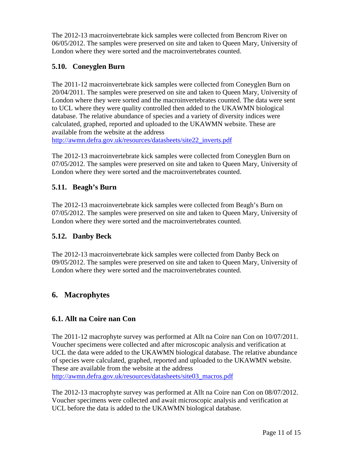<span id="page-11-0"></span>The 2012-13 macroinvertebrate kick samples were collected from Bencrom River on 06/05/2012. The samples were preserved on site and taken to Queen Mary, University of London where they were sorted and the macroinvertebrates counted.

# **5.10. Coneyglen Burn**

The 2011-12 macroinvertebrate kick samples were collected from Coneyglen Burn on 20/04/2011. The samples were preserved on site and taken to Queen Mary, University of London where they were sorted and the macroinvertebrates counted. The data were sent to UCL where they were quality controlled then added to the UKAWMN biological database. The relative abundance of species and a variety of diversity indices were calculated, graphed, reported and uploaded to the UKAWMN website. These are available from the website at the address

[http://awmn.defra.gov.uk/resources/datasheets/site22\\_inverts.pdf](http://awmn.defra.gov.uk/resources/datasheets/site22_inverts.pdf)

The 2012-13 macroinvertebrate kick samples were collected from Coneyglen Burn on 07/05/2012. The samples were preserved on site and taken to Queen Mary, University of London where they were sorted and the macroinvertebrates counted.

# **5.11. Beagh's Burn**

The 2012-13 macroinvertebrate kick samples were collected from Beagh's Burn on 07/05/2012. The samples were preserved on site and taken to Queen Mary, University of London where they were sorted and the macroinvertebrates counted.

# **5.12. Danby Beck**

The 2012-13 macroinvertebrate kick samples were collected from Danby Beck on 09/05/2012. The samples were preserved on site and taken to Queen Mary, University of London where they were sorted and the macroinvertebrates counted.

# **6. Macrophytes**

# **6.1. Allt na Coire nan Con**

The 2011-12 macrophyte survey was performed at Allt na Coire nan Con on 10/07/2011. Voucher specimens were collected and after microscopic analysis and verification at UCL the data were added to the UKAWMN biological database. The relative abundance of species were calculated, graphed, reported and uploaded to the UKAWMN website. These are available from the website at the address [http://awmn.defra.gov.uk/resources/datasheets/site03\\_macros.pdf](http://awmn.defra.gov.uk/resources/datasheets/site03_macros.pdf)

The 2012-13 macrophyte survey was performed at Allt na Coire nan Con on 08/07/2012. Voucher specimens were collected and await microscopic analysis and verification at UCL before the data is added to the UKAWMN biological database.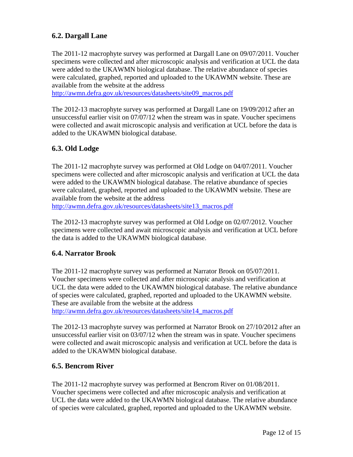## <span id="page-12-0"></span>**6.2. Dargall Lane**

The 2011-12 macrophyte survey was performed at Dargall Lane on 09/07/2011. Voucher specimens were collected and after microscopic analysis and verification at UCL the data were added to the UKAWMN biological database. The relative abundance of species were calculated, graphed, reported and uploaded to the UKAWMN website. These are available from the website at the address

[http://awmn.defra.gov.uk/resources/datasheets/site09\\_macros.pdf](http://awmn.defra.gov.uk/resources/datasheets/site09_macros.pdf)

The 2012-13 macrophyte survey was performed at Dargall Lane on 19/09/2012 after an unsuccessful earlier visit on 07/07/12 when the stream was in spate. Voucher specimens were collected and await microscopic analysis and verification at UCL before the data is added to the UKAWMN biological database.

### **6.3. Old Lodge**

The 2011-12 macrophyte survey was performed at Old Lodge on 04/07/2011. Voucher specimens were collected and after microscopic analysis and verification at UCL the data were added to the UKAWMN biological database. The relative abundance of species were calculated, graphed, reported and uploaded to the UKAWMN website. These are available from the website at the address

[http://awmn.defra.gov.uk/resources/datasheets/site13\\_macros.pdf](http://awmn.defra.gov.uk/resources/datasheets/site13_macros.pdf)

The 2012-13 macrophyte survey was performed at Old Lodge on 02/07/2012. Voucher specimens were collected and await microscopic analysis and verification at UCL before the data is added to the UKAWMN biological database.

#### **6.4. Narrator Brook**

The 2011-12 macrophyte survey was performed at Narrator Brook on 05/07/2011. Voucher specimens were collected and after microscopic analysis and verification at UCL the data were added to the UKAWMN biological database. The relative abundance of species were calculated, graphed, reported and uploaded to the UKAWMN website. These are available from the website at the address [http://awmn.defra.gov.uk/resources/datasheets/site14\\_macros.pdf](http://awmn.defra.gov.uk/resources/datasheets/site14_macros.pdf)

The 2012-13 macrophyte survey was performed at Narrator Brook on 27/10/2012 after an unsuccessful earlier visit on 03/07/12 when the stream was in spate. Voucher specimens were collected and await microscopic analysis and verification at UCL before the data is added to the UKAWMN biological database.

#### **6.5. Bencrom River**

The 2011-12 macrophyte survey was performed at Bencrom River on 01/08/2011. Voucher specimens were collected and after microscopic analysis and verification at UCL the data were added to the UKAWMN biological database. The relative abundance of species were calculated, graphed, reported and uploaded to the UKAWMN website.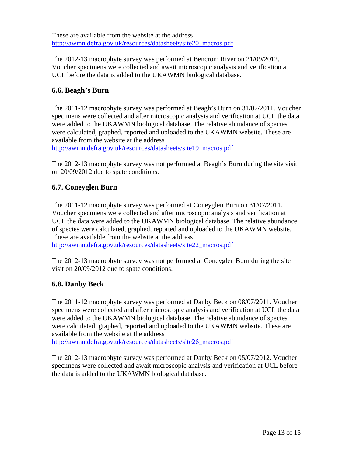<span id="page-13-0"></span>These are available from the website at the address [http://awmn.defra.gov.uk/resources/datasheets/site20\\_macros.pdf](http://awmn.defra.gov.uk/resources/datasheets/site20_macros.pdf)

The 2012-13 macrophyte survey was performed at Bencrom River on 21/09/2012. Voucher specimens were collected and await microscopic analysis and verification at UCL before the data is added to the UKAWMN biological database.

### **6.6. Beagh's Burn**

The 2011-12 macrophyte survey was performed at Beagh's Burn on 31/07/2011. Voucher specimens were collected and after microscopic analysis and verification at UCL the data were added to the UKAWMN biological database. The relative abundance of species were calculated, graphed, reported and uploaded to the UKAWMN website. These are available from the website at the address

[http://awmn.defra.gov.uk/resources/datasheets/site19\\_macros.pdf](http://awmn.defra.gov.uk/resources/datasheets/site19_macros.pdf)

The 2012-13 macrophyte survey was not performed at Beagh's Burn during the site visit on 20/09/2012 due to spate conditions.

### **6.7. Coneyglen Burn**

The 2011-12 macrophyte survey was performed at Coneyglen Burn on 31/07/2011. Voucher specimens were collected and after microscopic analysis and verification at UCL the data were added to the UKAWMN biological database. The relative abundance of species were calculated, graphed, reported and uploaded to the UKAWMN website. These are available from the website at the address

[http://awmn.defra.gov.uk/resources/datasheets/site22\\_macros.pdf](http://awmn.defra.gov.uk/resources/datasheets/site22_macros.pdf)

The 2012-13 macrophyte survey was not performed at Coneyglen Burn during the site visit on 20/09/2012 due to spate conditions.

#### **6.8. Danby Beck**

The 2011-12 macrophyte survey was performed at Danby Beck on 08/07/2011. Voucher specimens were collected and after microscopic analysis and verification at UCL the data were added to the UKAWMN biological database. The relative abundance of species were calculated, graphed, reported and uploaded to the UKAWMN website. These are available from the website at the address

[http://awmn.defra.gov.uk/resources/datasheets/site26\\_macros.pdf](http://awmn.defra.gov.uk/resources/datasheets/site26_macros.pdf)

The 2012-13 macrophyte survey was performed at Danby Beck on 05/07/2012. Voucher specimens were collected and await microscopic analysis and verification at UCL before the data is added to the UKAWMN biological database.